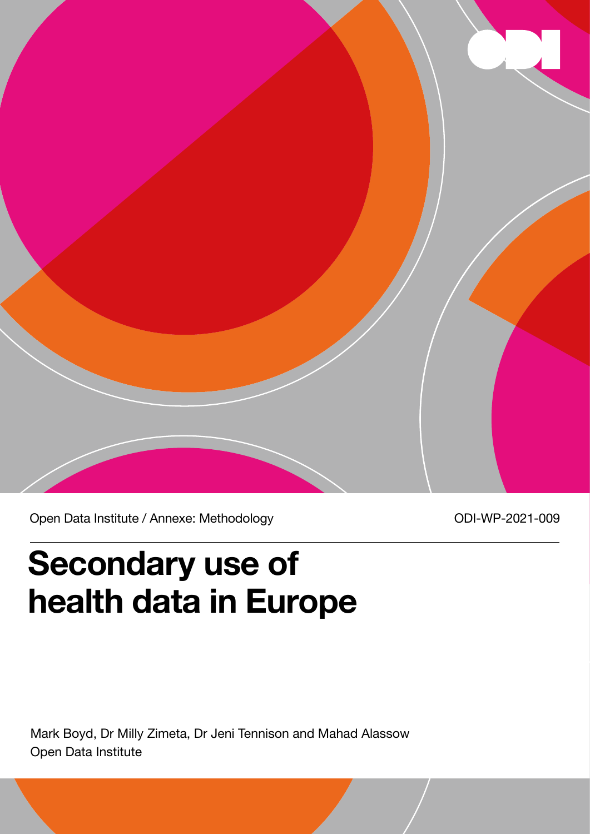

Open Data Institute / Annexe: Methodology CDI-WP-2021-009

# **Secondary use of health data in Europe**

Mark Boyd, Dr Milly Zimeta, Dr Jeni Tennison and Mahad Alassow Open Data Institute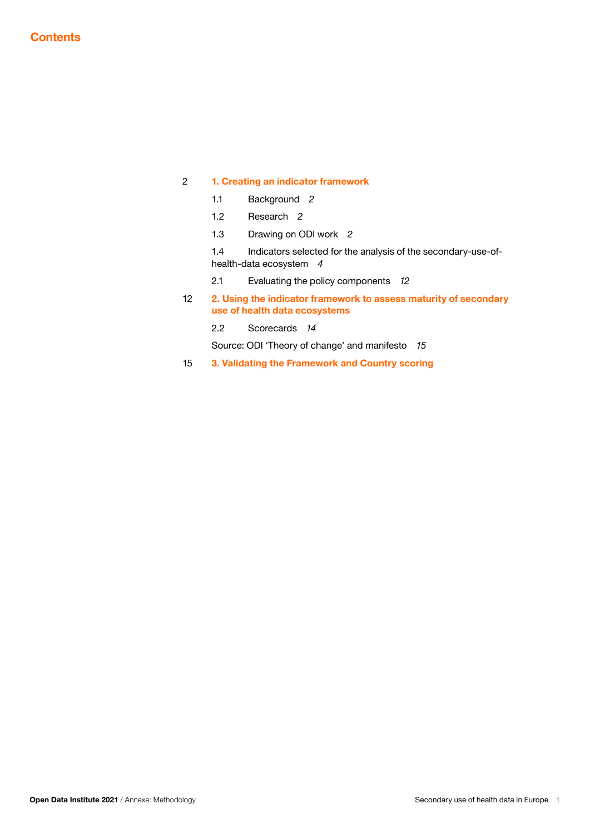### 2 **1. Creating an indicator framework**

- 1.1 Background *2*
- 1.2 Research *2*
- 1.3 Drawing on ODI work *2*

1.4 Indicators selected for the analysis of the secondary-use-ofhealth-data ecosystem *4*

- 2.1 Evaluating the policy components *12*
- 12 **2. Using the indicator framework to assess maturity of secondary use of health data ecosystems**
	- 2.2 Scorecards *14*

Source: ODI 'Theory of change' and manifesto *15*

15 **3. Validating the Framework and Country scoring**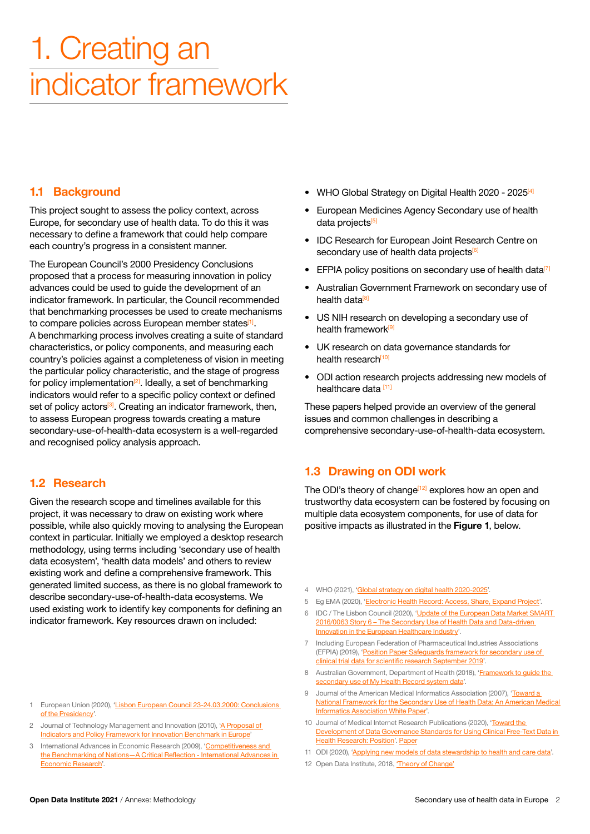## 1. Creating an indicator framework

## **1.1 Background**

This project sought to assess the policy context, across Europe, for secondary use of health data. To do this it was necessary to define a framework that could help compare each country's progress in a consistent manner.

The European Council's 2000 Presidency Conclusions proposed that a process for measuring innovation in policy advances could be used to guide the development of an indicator framework. In particular, the Council recommended that benchmarking processes be used to create mechanisms to compare policies across European member states<sup>[1]</sup>. A benchmarking process involves creating a suite of standard characteristics, or policy components, and measuring each country's policies against a completeness of vision in meeting the particular policy characteristic, and the stage of progress for policy implementation<sup>[2]</sup>. Ideally, a set of benchmarking indicators would refer to a specific policy context or defined set of policy actors<sup>[3]</sup>. Creating an indicator framework, then, to assess European progress towards creating a mature secondary-use-of-health-data ecosystem is a well-regarded and recognised policy analysis approach.

### **1.2 Research**

Given the research scope and timelines available for this project, it was necessary to draw on existing work where possible, while also quickly moving to analysing the European context in particular. Initially we employed a desktop research methodology, using terms including 'secondary use of health data ecosystem', 'health data models' and others to review existing work and define a comprehensive framework. This generated limited success, as there is no global framework to describe secondary-use-of-health-data ecosystems. We used existing work to identify key components for defining an indicator framework. Key resources drawn on included:

- 1 European Union (2020), 'Lisbon European Council 23-24.03.2000: Conclusions of the Presidency'.
- 2 Journal of Technology Management and Innovation (2010), 'A Proposal of Indicators and Policy Framework for Innovation Benchmark in Europe'
- 3 International Advances in Economic Research (2009), 'Competitiveness and the Benchmarking of Nations—A Critical Reflection - International Advances in Economic Research'.
- WHO Global Strategy on Digital Health 2020 2025<sup>[4]</sup>
- European Medicines Agency Secondary use of health data projects<sup>[5]</sup>
- IDC Research for European Joint Research Centre on secondary use of health data projects<sup>[6]</sup>
- **EFPIA policy positions on secondary use of health data**<sup>[7]</sup>
- Australian Government Framework on secondary use of health data<sup>[8]</sup>
- US NIH research on developing a secondary use of health framework<sup>[9]</sup>
- UK research on data governance standards for health research<sup>[10]</sup>
- ODI action research projects addressing new models of healthcare data [11]

These papers helped provide an overview of the general issues and common challenges in describing a comprehensive secondary-use-of-health-data ecosystem.

## **1.3 Drawing on ODI work**

The ODI's theory of change<sup>[12]</sup> explores how an open and trustworthy data ecosystem can be fostered by focusing on multiple data ecosystem components, for use of data for positive impacts as illustrated in the **Figure 1**, below.

- 4 WHO (2021), 'Global strategy on digital health 2020-2025'.
- 5 Eg EMA (2020), 'Electronic Health Record: Access, Share, Expand Project'.
- 6 IDC / The Lisbon Council (2020), 'Update of the European Data Market SMART 2016/0063 Story 6 – The Secondary Use of Health Data and Data-driven Innovation in the European Healthcare Industry'.
- 7 Including European Federation of Pharmaceutical Industries Associations (EFPIA) (2019), 'Position Paper Safeguards framework for secondary use of clinical trial data for scientific research September 2019'.
- 8 Australian Government, Department of Health (2018), 'Framework to guide the secondary use of My Health Record system data'
- 9 Journal of the American Medical Informatics Association (2007), 'Toward a National Framework for the Secondary Use of Health Data: An American Medical Informatics Association White Paper'.
- 10 Journal of Medical Internet Research Publications (2020), 'Toward the Development of Data Governance Standards for Using Clinical Free-Text Data in Health Research: Position'. Paper
- 11 ODI (2020), 'Applying new models of data stewardship to health and care data'.
- 12 Open Data Institute, 2018, 'Theory of Change'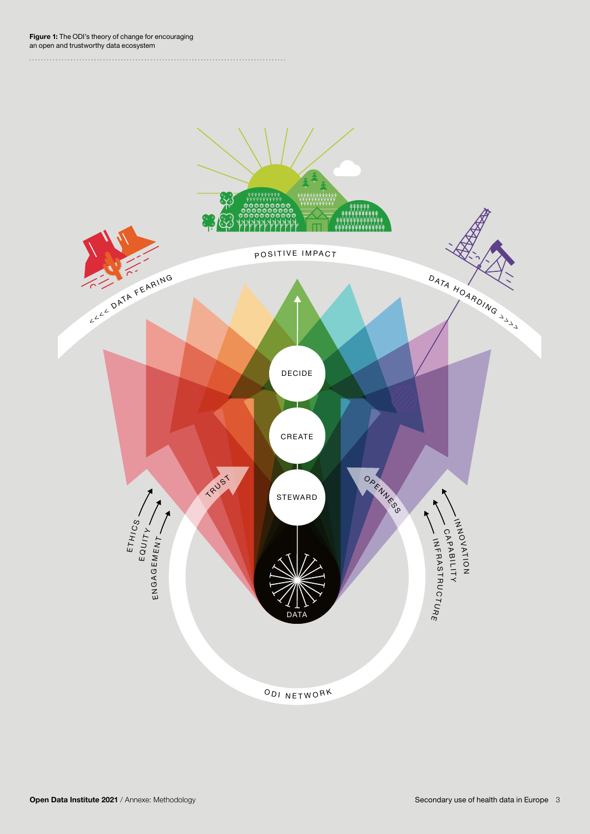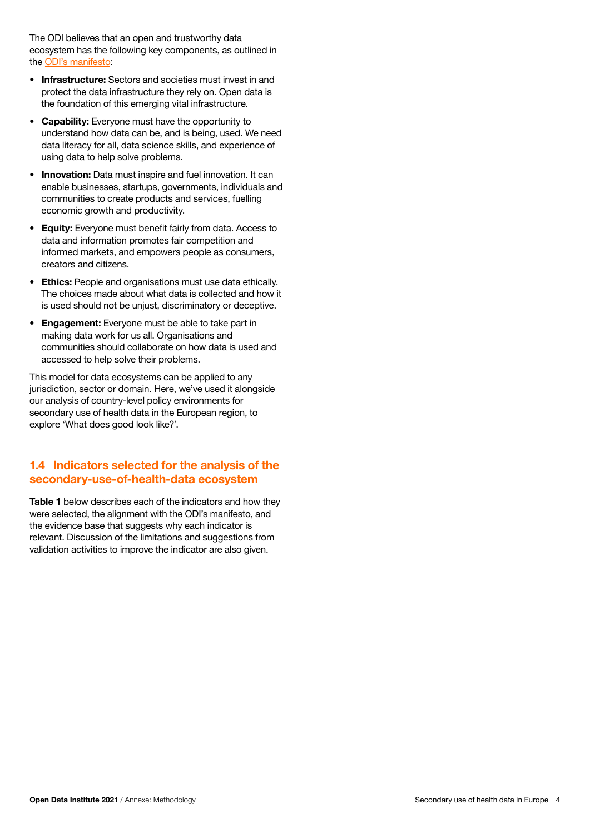The ODI believes that an open and trustworthy data ecosystem has the following key components, as outlined in the ODI's manifesto:

- **Infrastructure:** Sectors and societies must invest in and protect the data infrastructure they rely on. Open data is the foundation of this emerging vital infrastructure.
- **Capability:** Everyone must have the opportunity to understand how data can be, and is being, used. We need data literacy for all, data science skills, and experience of using data to help solve problems.
- **Innovation:** Data must inspire and fuel innovation. It can enable businesses, startups, governments, individuals and communities to create products and services, fuelling economic growth and productivity.
- **Equity:** Everyone must benefit fairly from data. Access to data and information promotes fair competition and informed markets, and empowers people as consumers, creators and citizens.
- **Ethics:** People and organisations must use data ethically. The choices made about what data is collected and how it is used should not be unjust, discriminatory or deceptive.
- **Engagement:** Everyone must be able to take part in making data work for us all. Organisations and communities should collaborate on how data is used and accessed to help solve their problems.

This model for data ecosystems can be applied to any jurisdiction, sector or domain. Here, we've used it alongside our analysis of country-level policy environments for secondary use of health data in the European region, to explore 'What does good look like?'.

## **1.4 Indicators selected for the analysis of the secondary-use-of-health-data ecosystem**

**Table 1** below describes each of the indicators and how they were selected, the alignment with the ODI's manifesto, and the evidence base that suggests why each indicator is relevant. Discussion of the limitations and suggestions from validation activities to improve the indicator are also given.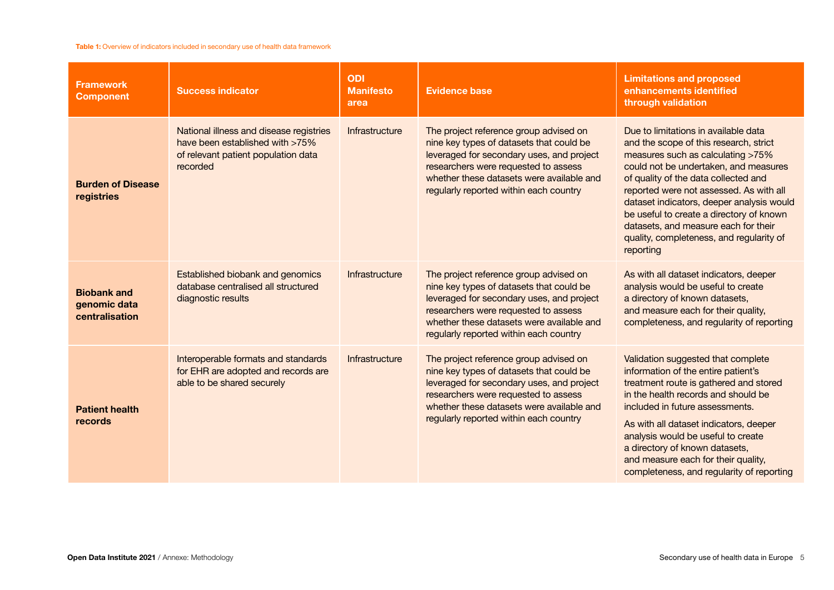| <b>Framework</b><br><b>Component</b>                 | <b>Success indicator</b>                                                                                                      | <b>ODI</b><br><b>Manifesto</b><br>area | <b>Evidence base</b>                                                                                                                                                                                                                                           | <b>Limitations and proposed</b><br>enhancements identified<br>through validation                                                                                                                                                                                                                                                                                                                                                          |
|------------------------------------------------------|-------------------------------------------------------------------------------------------------------------------------------|----------------------------------------|----------------------------------------------------------------------------------------------------------------------------------------------------------------------------------------------------------------------------------------------------------------|-------------------------------------------------------------------------------------------------------------------------------------------------------------------------------------------------------------------------------------------------------------------------------------------------------------------------------------------------------------------------------------------------------------------------------------------|
| <b>Burden of Disease</b><br>registries               | National illness and disease registries<br>have been established with >75%<br>of relevant patient population data<br>recorded | Infrastructure                         | The project reference group advised on<br>nine key types of datasets that could be<br>leveraged for secondary uses, and project<br>researchers were requested to assess<br>whether these datasets were available and<br>regularly reported within each country | Due to limitations in available data<br>and the scope of this research, strict<br>measures such as calculating >75%<br>could not be undertaken, and measures<br>of quality of the data collected and<br>reported were not assessed. As with all<br>dataset indicators, deeper analysis would<br>be useful to create a directory of known<br>datasets, and measure each for their<br>quality, completeness, and regularity of<br>reporting |
| <b>Biobank and</b><br>genomic data<br>centralisation | Established biobank and genomics<br>database centralised all structured<br>diagnostic results                                 | Infrastructure                         | The project reference group advised on<br>nine key types of datasets that could be<br>leveraged for secondary uses, and project<br>researchers were requested to assess<br>whether these datasets were available and<br>regularly reported within each country | As with all dataset indicators, deeper<br>analysis would be useful to create<br>a directory of known datasets,<br>and measure each for their quality,<br>completeness, and regularity of reporting                                                                                                                                                                                                                                        |
| <b>Patient health</b><br>records                     | Interoperable formats and standards<br>for EHR are adopted and records are<br>able to be shared securely                      | Infrastructure                         | The project reference group advised on<br>nine key types of datasets that could be<br>leveraged for secondary uses, and project<br>researchers were requested to assess<br>whether these datasets were available and<br>regularly reported within each country | Validation suggested that complete<br>information of the entire patient's<br>treatment route is gathered and stored<br>in the health records and should be<br>included in future assessments.<br>As with all dataset indicators, deeper<br>analysis would be useful to create<br>a directory of known datasets,<br>and measure each for their quality,<br>completeness, and regularity of reporting                                       |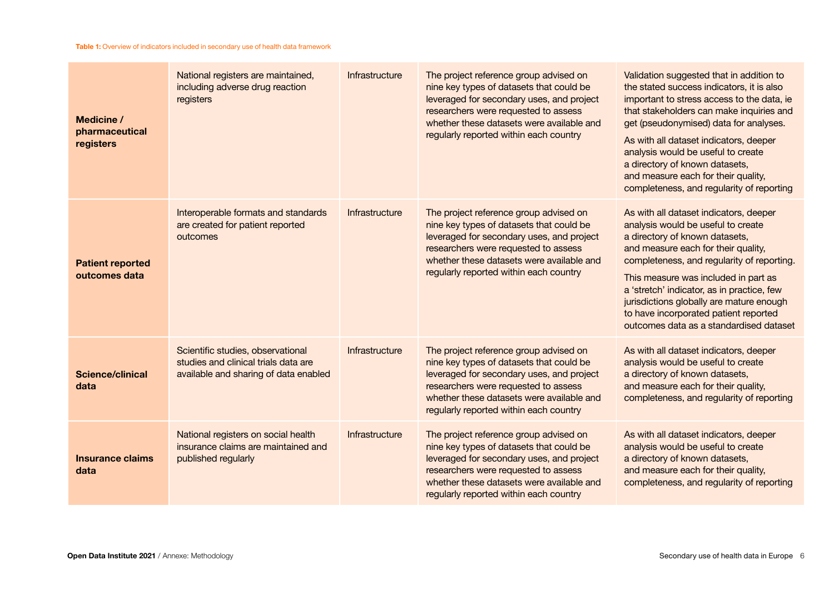| Medicine /<br>pharmaceutical<br>registers | National registers are maintained,<br>including adverse drug reaction<br>registers                                 | Infrastructure | The project reference group advised on<br>nine key types of datasets that could be<br>leveraged for secondary uses, and project<br>researchers were requested to assess<br>whether these datasets were available and<br>regularly reported within each country | Validation suggested that in addition to<br>the stated success indicators, it is also<br>important to stress access to the data, ie<br>that stakeholders can make inquiries and<br>get (pseudonymised) data for analyses.<br>As with all dataset indicators, deeper<br>analysis would be useful to create<br>a directory of known datasets,<br>and measure each for their quality,<br>completeness, and regularity of reporting |
|-------------------------------------------|--------------------------------------------------------------------------------------------------------------------|----------------|----------------------------------------------------------------------------------------------------------------------------------------------------------------------------------------------------------------------------------------------------------------|---------------------------------------------------------------------------------------------------------------------------------------------------------------------------------------------------------------------------------------------------------------------------------------------------------------------------------------------------------------------------------------------------------------------------------|
| <b>Patient reported</b><br>outcomes data  | Interoperable formats and standards<br>are created for patient reported<br>outcomes                                | Infrastructure | The project reference group advised on<br>nine key types of datasets that could be<br>leveraged for secondary uses, and project<br>researchers were requested to assess<br>whether these datasets were available and<br>regularly reported within each country | As with all dataset indicators, deeper<br>analysis would be useful to create<br>a directory of known datasets,<br>and measure each for their quality,<br>completeness, and regularity of reporting.<br>This measure was included in part as<br>a 'stretch' indicator, as in practice, few<br>jurisdictions globally are mature enough<br>to have incorporated patient reported<br>outcomes data as a standardised dataset       |
| <b>Science/clinical</b><br>data           | Scientific studies, observational<br>studies and clinical trials data are<br>available and sharing of data enabled | Infrastructure | The project reference group advised on<br>nine key types of datasets that could be<br>leveraged for secondary uses, and project<br>researchers were requested to assess<br>whether these datasets were available and<br>regularly reported within each country | As with all dataset indicators, deeper<br>analysis would be useful to create<br>a directory of known datasets,<br>and measure each for their quality,<br>completeness, and regularity of reporting                                                                                                                                                                                                                              |
| <b>Insurance claims</b><br>data           | National registers on social health<br>insurance claims are maintained and<br>published regularly                  | Infrastructure | The project reference group advised on<br>nine key types of datasets that could be<br>leveraged for secondary uses, and project<br>researchers were requested to assess<br>whether these datasets were available and<br>regularly reported within each country | As with all dataset indicators, deeper<br>analysis would be useful to create<br>a directory of known datasets,<br>and measure each for their quality,<br>completeness, and regularity of reporting                                                                                                                                                                                                                              |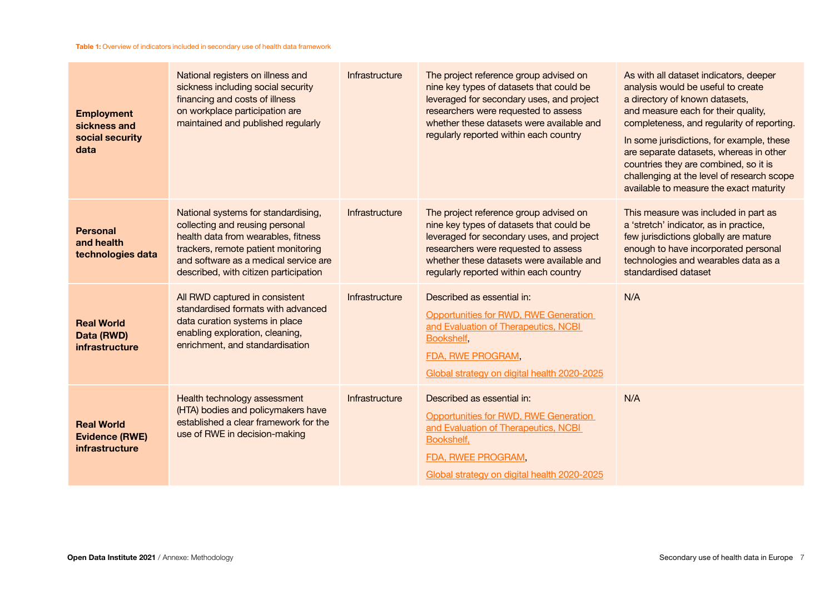| <b>Employment</b><br>sickness and<br>social security<br>data | National registers on illness and<br>sickness including social security<br>financing and costs of illness<br>on workplace participation are<br>maintained and published regularly                                                      | Infrastructure | The project reference group advised on<br>nine key types of datasets that could be<br>leveraged for secondary uses, and project<br>researchers were requested to assess<br>whether these datasets were available and<br>regularly reported within each country | As with all dataset indicators, deeper<br>analysis would be useful to create<br>a directory of known datasets,<br>and measure each for their quality,<br>completeness, and regularity of reporting.<br>In some jurisdictions, for example, these<br>are separate datasets, whereas in other<br>countries they are combined, so it is<br>challenging at the level of research scope<br>available to measure the exact maturity |
|--------------------------------------------------------------|----------------------------------------------------------------------------------------------------------------------------------------------------------------------------------------------------------------------------------------|----------------|----------------------------------------------------------------------------------------------------------------------------------------------------------------------------------------------------------------------------------------------------------------|-------------------------------------------------------------------------------------------------------------------------------------------------------------------------------------------------------------------------------------------------------------------------------------------------------------------------------------------------------------------------------------------------------------------------------|
| <b>Personal</b><br>and health<br>technologies data           | National systems for standardising,<br>collecting and reusing personal<br>health data from wearables, fitness<br>trackers, remote patient monitoring<br>and software as a medical service are<br>described, with citizen participation | Infrastructure | The project reference group advised on<br>nine key types of datasets that could be<br>leveraged for secondary uses, and project<br>researchers were requested to assess<br>whether these datasets were available and<br>regularly reported within each country | This measure was included in part as<br>a 'stretch' indicator, as in practice,<br>few jurisdictions globally are mature<br>enough to have incorporated personal<br>technologies and wearables data as a<br>standardised dataset                                                                                                                                                                                               |
| <b>Real World</b><br>Data (RWD)<br>infrastructure            | All RWD captured in consistent<br>standardised formats with advanced<br>data curation systems in place<br>enabling exploration, cleaning,<br>enrichment, and standardisation                                                           | Infrastructure | Described as essential in:<br>Opportunities for RWD, RWE Generation<br>and Evaluation of Therapeutics, NCBI<br>Bookshelf<br>FDA, RWE PROGRAM,<br>Global strategy on digital health 2020-2025                                                                   | N/A                                                                                                                                                                                                                                                                                                                                                                                                                           |
| <b>Real World</b><br><b>Evidence (RWE)</b><br>infrastructure | Health technology assessment<br>(HTA) bodies and policymakers have<br>established a clear framework for the<br>use of RWE in decision-making                                                                                           | Infrastructure | Described as essential in:<br>Opportunities for RWD, RWE Generation<br>and Evaluation of Therapeutics, NCBI<br>Bookshelf,<br>FDA, RWEE PROGRAM,<br>Global strategy on digital health 2020-2025                                                                 | N/A                                                                                                                                                                                                                                                                                                                                                                                                                           |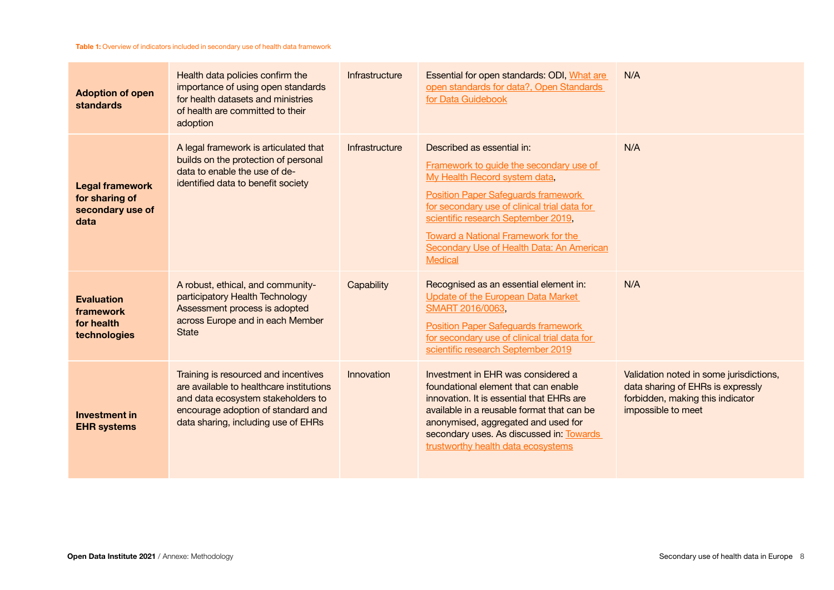| <b>Adoption of open</b><br><b>standards</b>                          | Health data policies confirm the<br>importance of using open standards<br>for health datasets and ministries<br>of health are committed to their<br>adoption                                        | Infrastructure | Essential for open standards: ODI, What are<br>open standards for data?, Open Standards<br>for Data Guidebook                                                                                                                                                                                                                                            | N/A                                                                                                                                    |
|----------------------------------------------------------------------|-----------------------------------------------------------------------------------------------------------------------------------------------------------------------------------------------------|----------------|----------------------------------------------------------------------------------------------------------------------------------------------------------------------------------------------------------------------------------------------------------------------------------------------------------------------------------------------------------|----------------------------------------------------------------------------------------------------------------------------------------|
| <b>Legal framework</b><br>for sharing of<br>secondary use of<br>data | A legal framework is articulated that<br>builds on the protection of personal<br>data to enable the use of de-<br>identified data to benefit society                                                | Infrastructure | Described as essential in:<br>Framework to guide the secondary use of<br>My Health Record system data,<br><b>Position Paper Safequards framework</b><br>for secondary use of clinical trial data for<br>scientific research September 2019,<br><b>Toward a National Framework for the</b><br>Secondary Use of Health Data: An American<br><b>Medical</b> | N/A                                                                                                                                    |
| <b>Evaluation</b><br>framework<br>for health<br>technologies         | A robust, ethical, and community-<br>participatory Health Technology<br>Assessment process is adopted<br>across Europe and in each Member<br><b>State</b>                                           | Capability     | Recognised as an essential element in:<br><b>Update of the European Data Market</b><br>SMART 2016/0063,<br><b>Position Paper Safeguards framework</b><br>for secondary use of clinical trial data for<br>scientific research September 2019                                                                                                              | N/A                                                                                                                                    |
| <b>Investment in</b><br><b>EHR systems</b>                           | Training is resourced and incentives<br>are available to healthcare institutions<br>and data ecosystem stakeholders to<br>encourage adoption of standard and<br>data sharing, including use of EHRs | Innovation     | Investment in EHR was considered a<br>foundational element that can enable<br>innovation. It is essential that EHRs are<br>available in a reusable format that can be<br>anonymised, aggregated and used for<br>secondary uses. As discussed in: Towards<br>trustworthy health data ecosystems                                                           | Validation noted in some jurisdictions,<br>data sharing of EHRs is expressly<br>forbidden, making this indicator<br>impossible to meet |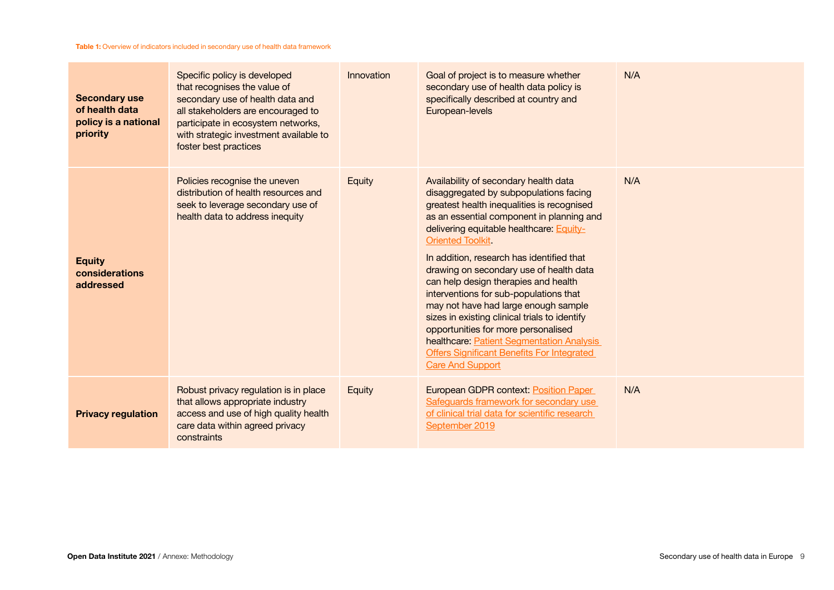| <b>Secondary use</b><br>of health data<br>policy is a national<br>priority | Specific policy is developed<br>that recognises the value of<br>secondary use of health data and<br>all stakeholders are encouraged to<br>participate in ecosystem networks,<br>with strategic investment available to<br>foster best practices | Innovation | Goal of project is to measure whether<br>secondary use of health data policy is<br>specifically described at country and<br>European-levels                                                                                                                                                                                                                                                                                                                                                                                                                                                                                                                                              | N/A |
|----------------------------------------------------------------------------|-------------------------------------------------------------------------------------------------------------------------------------------------------------------------------------------------------------------------------------------------|------------|------------------------------------------------------------------------------------------------------------------------------------------------------------------------------------------------------------------------------------------------------------------------------------------------------------------------------------------------------------------------------------------------------------------------------------------------------------------------------------------------------------------------------------------------------------------------------------------------------------------------------------------------------------------------------------------|-----|
| <b>Equity</b><br>considerations<br>addressed                               | Policies recognise the uneven<br>distribution of health resources and<br>seek to leverage secondary use of<br>health data to address inequity                                                                                                   | Equity     | Availability of secondary health data<br>disaggregated by subpopulations facing<br>greatest health inequalities is recognised<br>as an essential component in planning and<br>delivering equitable healthcare: Equity-<br><b>Oriented Toolkit</b><br>In addition, research has identified that<br>drawing on secondary use of health data<br>can help design therapies and health<br>interventions for sub-populations that<br>may not have had large enough sample<br>sizes in existing clinical trials to identify<br>opportunities for more personalised<br>healthcare: Patient Segmentation Analysis<br><b>Offers Significant Benefits For Integrated</b><br><b>Care And Support</b> | N/A |
| <b>Privacy regulation</b>                                                  | Robust privacy regulation is in place<br>that allows appropriate industry<br>access and use of high quality health<br>care data within agreed privacy<br>constraints                                                                            | Equity     | European GDPR context: Position Paper<br>Safeguards framework for secondary use<br>of clinical trial data for scientific research<br>September 2019                                                                                                                                                                                                                                                                                                                                                                                                                                                                                                                                      | N/A |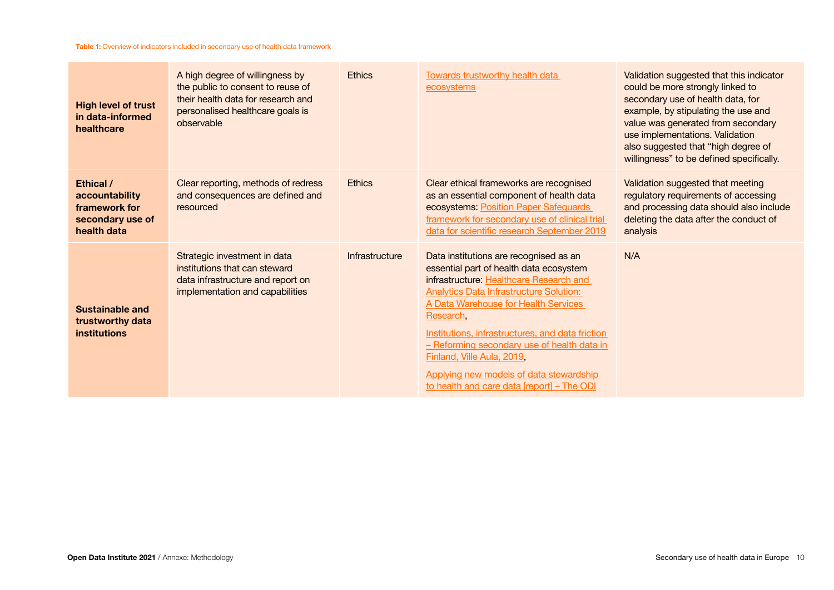| <b>High level of trust</b><br>in data-informed<br>healthcare                    | A high degree of willingness by<br>the public to consent to reuse of<br>their health data for research and<br>personalised healthcare goals is<br>observable | <b>Ethics</b>         | Towards trustworthy health data<br>ecosystems                                                                                                                                                                                                                                                                                                                                                                                                                 | Validation suggested that this indicator<br>could be more strongly linked to<br>secondary use of health data, for<br>example, by stipulating the use and<br>value was generated from secondary<br>use implementations. Validation<br>also suggested that "high degree of<br>willingness" to be defined specifically. |
|---------------------------------------------------------------------------------|--------------------------------------------------------------------------------------------------------------------------------------------------------------|-----------------------|---------------------------------------------------------------------------------------------------------------------------------------------------------------------------------------------------------------------------------------------------------------------------------------------------------------------------------------------------------------------------------------------------------------------------------------------------------------|----------------------------------------------------------------------------------------------------------------------------------------------------------------------------------------------------------------------------------------------------------------------------------------------------------------------|
| Ethical /<br>accountability<br>framework for<br>secondary use of<br>health data | Clear reporting, methods of redress<br>and consequences are defined and<br>resourced                                                                         | <b>Ethics</b>         | Clear ethical frameworks are recognised<br>as an essential component of health data<br>ecosystems: Position Paper Safeguards<br>framework for secondary use of clinical trial<br>data for scientific research September 2019                                                                                                                                                                                                                                  | Validation suggested that meeting<br>regulatory requirements of accessing<br>and processing data should also include<br>deleting the data after the conduct of<br>analysis                                                                                                                                           |
| Sustainable and<br>trustworthy data<br><b>institutions</b>                      | Strategic investment in data<br>institutions that can steward<br>data infrastructure and report on<br>implementation and capabilities                        | <b>Infrastructure</b> | Data institutions are recognised as an<br>essential part of health data ecosystem<br>infrastructure: Healthcare Research and<br><b>Analytics Data Infrastructure Solution:</b><br>A Data Warehouse for Health Services<br>Research,<br>Institutions, infrastructures, and data friction<br>- Reforming secondary use of health data in<br>Finland, Ville Aula, 2019,<br>Applying new models of data stewardship<br>to health and care data [report] - The ODI | N/A                                                                                                                                                                                                                                                                                                                  |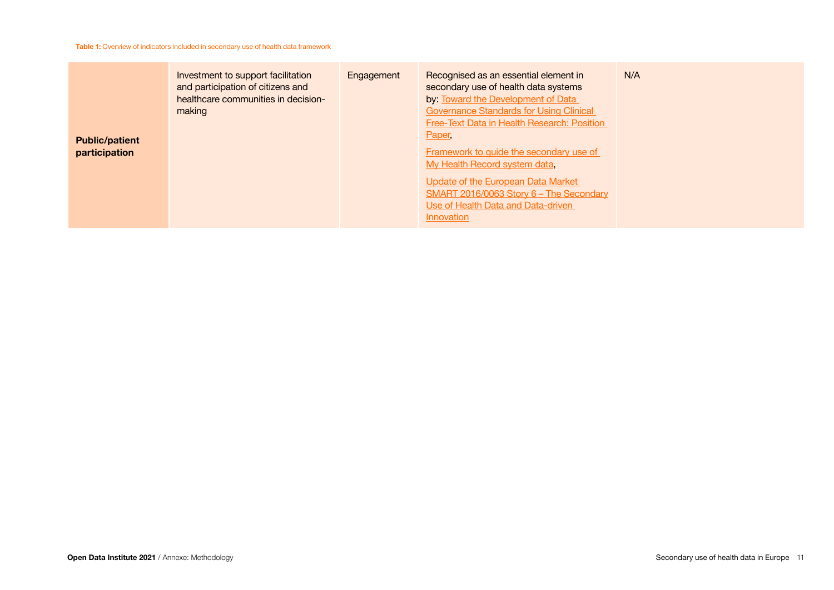| <b>Public/patient</b><br>participation | Investment to support facilitation<br>and participation of citizens and<br>healthcare communities in decision-<br>making | Engagement | Recognised as an essential element in<br>secondary use of health data systems<br>by: Toward the Development of Data<br><b>Governance Standards for Using Clinical</b><br>Free-Text Data in Health Research: Position<br><b>Paper</b><br>Framework to guide the secondary use of<br>My Health Record system data,<br>Update of the European Data Market<br>SMART 2016/0063 Story 6 - The Secondary<br>Use of Health Data and Data-driven<br>Innovation | N/A |
|----------------------------------------|--------------------------------------------------------------------------------------------------------------------------|------------|-------------------------------------------------------------------------------------------------------------------------------------------------------------------------------------------------------------------------------------------------------------------------------------------------------------------------------------------------------------------------------------------------------------------------------------------------------|-----|
|----------------------------------------|--------------------------------------------------------------------------------------------------------------------------|------------|-------------------------------------------------------------------------------------------------------------------------------------------------------------------------------------------------------------------------------------------------------------------------------------------------------------------------------------------------------------------------------------------------------------------------------------------------------|-----|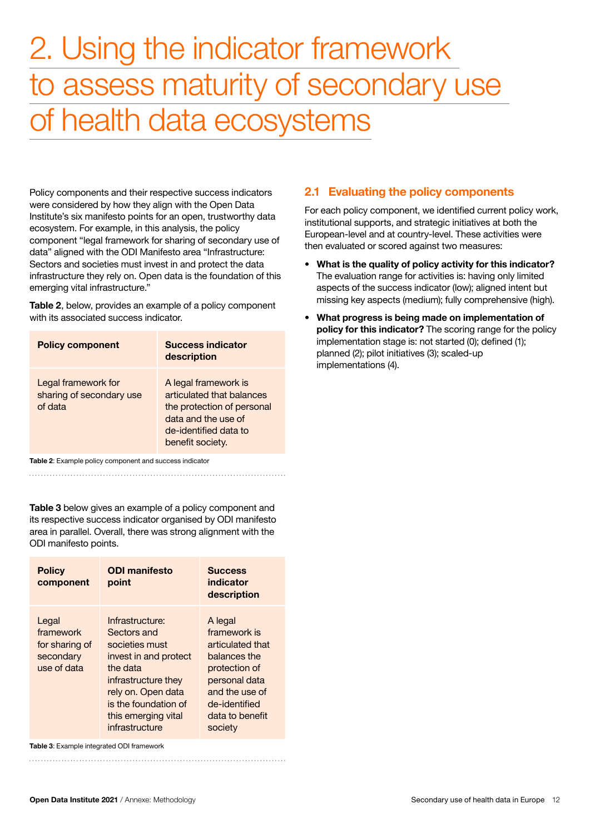## 2. Using the indicator framework to assess maturity of secondary use of health data ecosystems

Policy components and their respective success indicators were considered by how they align with the Open Data Institute's six manifesto points for an open, trustworthy data ecosystem. For example, in this analysis, the policy component "legal framework for sharing of secondary use of data" aligned with the ODI Manifesto area "Infrastructure: Sectors and societies must invest in and protect the data infrastructure they rely on. Open data is the foundation of this emerging vital infrastructure."

**Table 2**, below, provides an example of a policy component with its associated success indicator.

| <b>Policy component</b>                                    | <b>Success indicator</b><br>description                                                                                                             |
|------------------------------------------------------------|-----------------------------------------------------------------------------------------------------------------------------------------------------|
| Legal framework for<br>sharing of secondary use<br>of data | A legal framework is<br>articulated that balances<br>the protection of personal<br>data and the use of<br>de-identified data to<br>benefit society. |

**Table 2**: Example policy component and success indicator

**Table 3** below gives an example of a policy component and its respective success indicator organised by ODI manifesto area in parallel. Overall, there was strong alignment with the ODI manifesto points.

| <b>Policy</b><br>component                                       | <b>ODI</b> manifesto<br>point                                                                                                                                                                       | <b>Success</b><br>indicator<br>description                                                                                                                     |
|------------------------------------------------------------------|-----------------------------------------------------------------------------------------------------------------------------------------------------------------------------------------------------|----------------------------------------------------------------------------------------------------------------------------------------------------------------|
| Legal<br>framework<br>for sharing of<br>secondary<br>use of data | Infrastructure:<br>Sectors and<br>societies must<br>invest in and protect<br>the data<br>infrastructure they<br>rely on. Open data<br>is the foundation of<br>this emerging vital<br>infrastructure | A legal<br>framework is<br>articulated that<br>balances the<br>protection of<br>personal data<br>and the use of<br>de-identified<br>data to benefit<br>society |

**Table 3**: Example integrated ODI framework

## **2.1 Evaluating the policy components**

For each policy component, we identified current policy work, institutional supports, and strategic initiatives at both the European-level and at country-level. These activities were then evaluated or scored against two measures:

- **What is the quality of policy activity for this indicator?** The evaluation range for activities is: having only limited aspects of the success indicator (low); aligned intent but missing key aspects (medium); fully comprehensive (high).
- **What progress is being made on implementation of policy for this indicator?** The scoring range for the policy implementation stage is: not started (0); defined (1); planned (2); pilot initiatives (3); scaled-up implementations (4).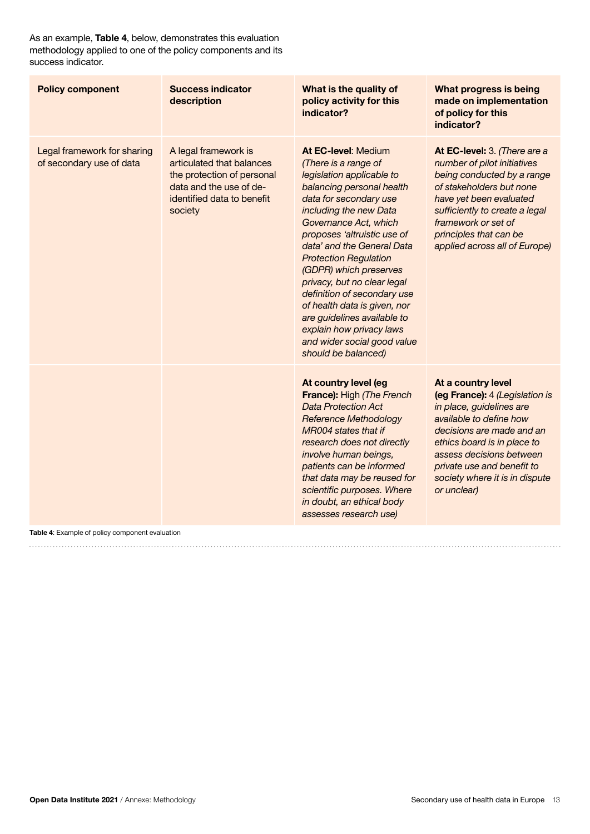As an example, **Table 4**, below, demonstrates this evaluation methodology applied to one of the policy components and its success indicator.

| <b>Policy component</b>                                 | <b>Success indicator</b><br>description                                                                                                             | What is the quality of<br>policy activity for this<br>indicator?                                                                                                                                                                                                                                                                                                                                                                                                                                                         | What progress is being<br>made on implementation<br>of policy for this<br>indicator?                                                                                                                                                                                               |
|---------------------------------------------------------|-----------------------------------------------------------------------------------------------------------------------------------------------------|--------------------------------------------------------------------------------------------------------------------------------------------------------------------------------------------------------------------------------------------------------------------------------------------------------------------------------------------------------------------------------------------------------------------------------------------------------------------------------------------------------------------------|------------------------------------------------------------------------------------------------------------------------------------------------------------------------------------------------------------------------------------------------------------------------------------|
| Legal framework for sharing<br>of secondary use of data | A legal framework is<br>articulated that balances<br>the protection of personal<br>data and the use of de-<br>identified data to benefit<br>society | At EC-level: Medium<br>(There is a range of<br>legislation applicable to<br>balancing personal health<br>data for secondary use<br>including the new Data<br>Governance Act, which<br>proposes 'altruistic use of<br>data' and the General Data<br><b>Protection Regulation</b><br>(GDPR) which preserves<br>privacy, but no clear legal<br>definition of secondary use<br>of health data is given, nor<br>are guidelines available to<br>explain how privacy laws<br>and wider social good value<br>should be balanced) | At EC-level: 3. (There are a<br>number of pilot initiatives<br>being conducted by a range<br>of stakeholders but none<br>have yet been evaluated<br>sufficiently to create a legal<br>framework or set of<br>principles that can be<br>applied across all of Europe)               |
|                                                         |                                                                                                                                                     | At country level (eg<br>France): High (The French<br><b>Data Protection Act</b><br><b>Reference Methodology</b><br>MR004 states that if<br>research does not directly<br>involve human beings,<br>patients can be informed<br>that data may be reused for<br>scientific purposes. Where<br>in doubt, an ethical body<br>assesses research use)                                                                                                                                                                           | At a country level<br>(eg France): 4 (Legislation is<br>in place, guidelines are<br>available to define how<br>decisions are made and an<br>ethics board is in place to<br>assess decisions between<br>private use and benefit to<br>society where it is in dispute<br>or unclear) |

**Table 4**: Example of policy component evaluation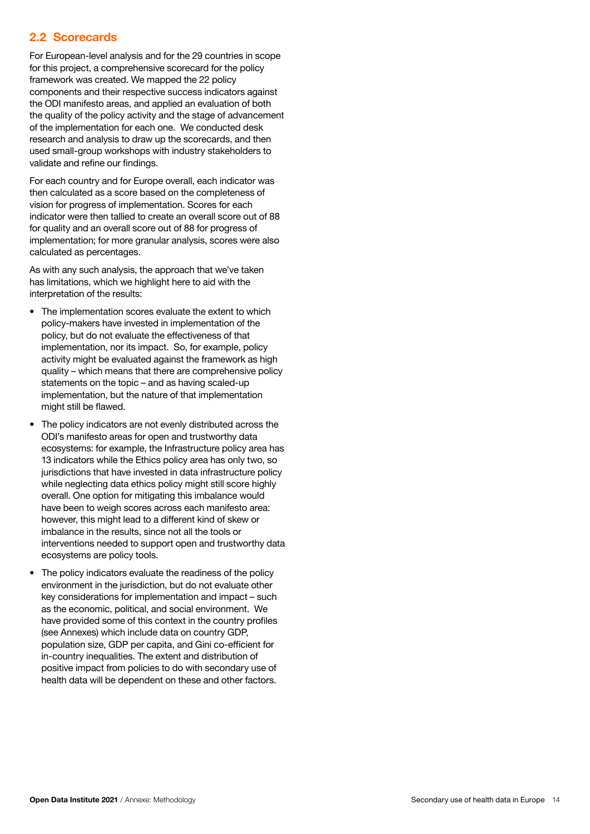## **2.2 Scorecards**

For European-level analysis and for the 29 countries in scope for this project, a comprehensive scorecard for the policy framework was created. We mapped the 22 policy components and their respective success indicators against the ODI manifesto areas, and applied an evaluation of both the quality of the policy activity and the stage of advancement of the implementation for each one. We conducted desk research and analysis to draw up the scorecards, and then used small-group workshops with industry stakeholders to validate and refine our findings.

For each country and for Europe overall, each indicator was then calculated as a score based on the completeness of vision for progress of implementation. Scores for each indicator were then tallied to create an overall score out of 88 for quality and an overall score out of 88 for progress of implementation; for more granular analysis, scores were also calculated as percentages.

As with any such analysis, the approach that we've taken has limitations, which we highlight here to aid with the interpretation of the results:

- The implementation scores evaluate the extent to which policy-makers have invested in implementation of the policy, but do not evaluate the effectiveness of that implementation, nor its impact. So, for example, policy activity might be evaluated against the framework as high quality – which means that there are comprehensive policy statements on the topic – and as having scaled-up implementation, but the nature of that implementation might still be flawed.
- The policy indicators are not evenly distributed across the ODI's manifesto areas for open and trustworthy data ecosystems: for example, the Infrastructure policy area has 13 indicators while the Ethics policy area has only two, so jurisdictions that have invested in data infrastructure policy while neglecting data ethics policy might still score highly overall. One option for mitigating this imbalance would have been to weigh scores across each manifesto area: however, this might lead to a different kind of skew or imbalance in the results, since not all the tools or interventions needed to support open and trustworthy data ecosystems are policy tools.
- The policy indicators evaluate the readiness of the policy environment in the jurisdiction, but do not evaluate other key considerations for implementation and impact – such as the economic, political, and social environment. We have provided some of this context in the country profiles (see Annexes) which include data on country GDP, population size, GDP per capita, and Gini co-efficient for in-country inequalities. The extent and distribution of positive impact from policies to do with secondary use of health data will be dependent on these and other factors.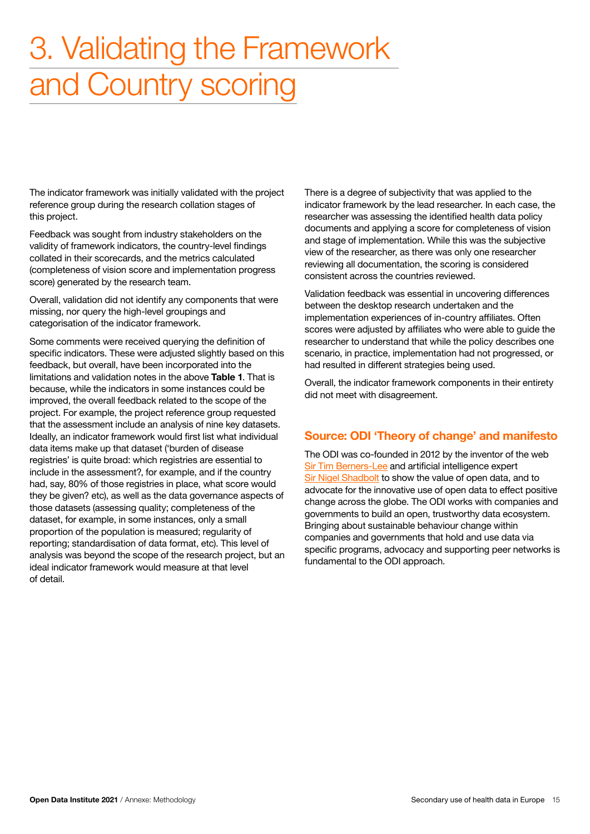## 3. Validating the Framework and Country scoring

The indicator framework was initially validated with the project reference group during the research collation stages of this project.

Feedback was sought from industry stakeholders on the validity of framework indicators, the country-level findings collated in their scorecards, and the metrics calculated (completeness of vision score and implementation progress score) generated by the research team.

Overall, validation did not identify any components that were missing, nor query the high-level groupings and categorisation of the indicator framework.

Some comments were received querying the definition of specific indicators. These were adjusted slightly based on this feedback, but overall, have been incorporated into the limitations and validation notes in the above **Table 1**. That is because, while the indicators in some instances could be improved, the overall feedback related to the scope of the project. For example, the project reference group requested that the assessment include an analysis of nine key datasets. Ideally, an indicator framework would first list what individual data items make up that dataset ('burden of disease registries' is quite broad: which registries are essential to include in the assessment?, for example, and if the country had, say, 80% of those registries in place, what score would they be given? etc), as well as the data governance aspects of those datasets (assessing quality; completeness of the dataset, for example, in some instances, only a small proportion of the population is measured; regularity of reporting; standardisation of data format, etc). This level of analysis was beyond the scope of the research project, but an ideal indicator framework would measure at that level of detail.

There is a degree of subjectivity that was applied to the indicator framework by the lead researcher. In each case, the researcher was assessing the identified health data policy documents and applying a score for completeness of vision and stage of implementation. While this was the subjective view of the researcher, as there was only one researcher reviewing all documentation, the scoring is considered consistent across the countries reviewed.

Validation feedback was essential in uncovering differences between the desktop research undertaken and the implementation experiences of in-country affiliates. Often scores were adjusted by affiliates who were able to guide the researcher to understand that while the policy describes one scenario, in practice, implementation had not progressed, or had resulted in different strategies being used.

Overall, the indicator framework components in their entirety did not meet with disagreement.

### **Source: ODI 'Theory of change' and manifesto**

The ODI was co-founded in 2012 by the inventor of the web Sir Tim Berners-Lee and artificial intelligence expert Sir Nigel Shadbolt to show the value of open data, and to advocate for the innovative use of open data to effect positive change across the globe. The ODI works with companies and governments to build an open, trustworthy data ecosystem. Bringing about sustainable behaviour change within companies and governments that hold and use data via specific programs, advocacy and supporting peer networks is fundamental to the ODI approach.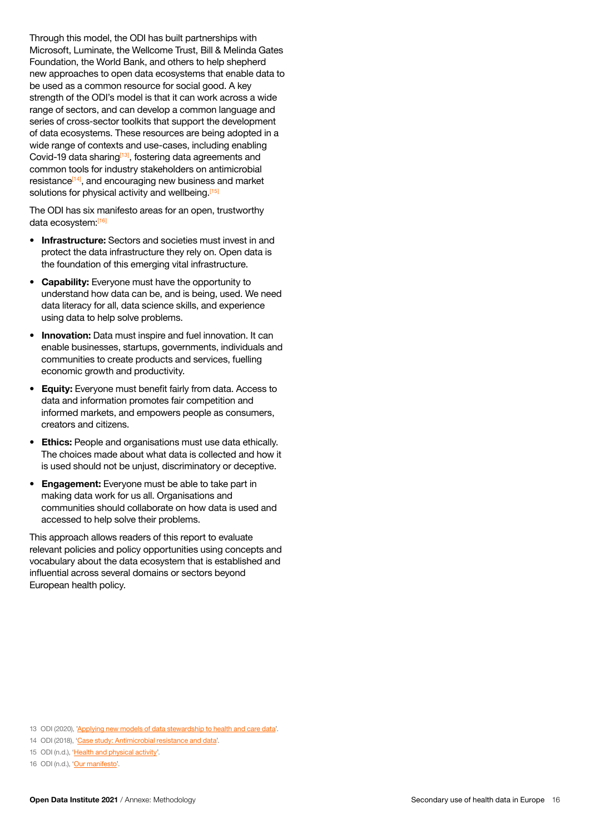Through this model, the ODI has built partnerships with Microsoft, Luminate, the Wellcome Trust, Bill & Melinda Gates Foundation, the World Bank, and others to help shepherd new approaches to open data ecosystems that enable data to be used as a common resource for social good. A key strength of the ODI's model is that it can work across a wide range of sectors, and can develop a common language and series of cross-sector toolkits that support the development of data ecosystems. These resources are being adopted in a wide range of contexts and use-cases, including enabling Covid-19 data sharing<sup>[13]</sup>, fostering data agreements and common tools for industry stakeholders on antimicrobial resistance<sup>[14]</sup>, and encouraging new business and market solutions for physical activity and wellbeing.<sup>[15]</sup>

The ODI has six manifesto areas for an open, trustworthy data ecosystem:[16]

- **Infrastructure:** Sectors and societies must invest in and protect the data infrastructure they rely on. Open data is the foundation of this emerging vital infrastructure.
- **Capability:** Everyone must have the opportunity to understand how data can be, and is being, used. We need data literacy for all, data science skills, and experience using data to help solve problems.
- **Innovation:** Data must inspire and fuel innovation. It can enable businesses, startups, governments, individuals and communities to create products and services, fuelling economic growth and productivity.
- **Equity:** Everyone must benefit fairly from data. Access to data and information promotes fair competition and informed markets, and empowers people as consumers, creators and citizens.
- **Ethics:** People and organisations must use data ethically. The choices made about what data is collected and how it is used should not be unjust, discriminatory or deceptive.
- **Engagement:** Everyone must be able to take part in making data work for us all. Organisations and communities should collaborate on how data is used and accessed to help solve their problems.

This approach allows readers of this report to evaluate relevant policies and policy opportunities using concepts and vocabulary about the data ecosystem that is established and influential across several domains or sectors beyond European health policy.

<sup>13</sup> ODI (2020), 'Applying new models of data stewardship to health and care data'.

<sup>14</sup> ODI (2018), 'Case study: Antimicrobial resistance and data'.

<sup>15</sup> ODI (n.d.), 'Health and physical activity'.

<sup>16</sup> ODI (n.d.), 'Our manifesto'.